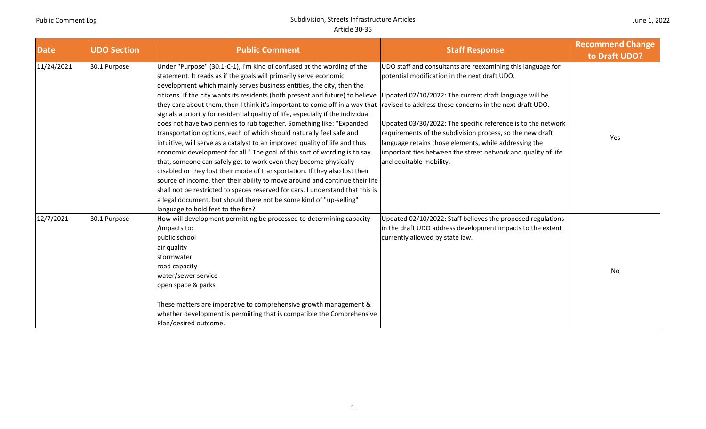| June 1, 2022 |  |  |  |
|--------------|--|--|--|
|--------------|--|--|--|

| <b>Date</b> | <b>UDO Section</b> | <b>Public Comment</b>                                                                                                                                                                                                                                                                                                                                                                                                                                                                                                                                                                                                                                                                                                                                                                                                                                                                                                                                                                                                                                                                                                                                                                                                  | <b>Staff Response</b>                                                                                                                                                                                                                                                                                                                                                                                                                                                                                                | <b>Recommend Change</b><br>to Draft UDO? |
|-------------|--------------------|------------------------------------------------------------------------------------------------------------------------------------------------------------------------------------------------------------------------------------------------------------------------------------------------------------------------------------------------------------------------------------------------------------------------------------------------------------------------------------------------------------------------------------------------------------------------------------------------------------------------------------------------------------------------------------------------------------------------------------------------------------------------------------------------------------------------------------------------------------------------------------------------------------------------------------------------------------------------------------------------------------------------------------------------------------------------------------------------------------------------------------------------------------------------------------------------------------------------|----------------------------------------------------------------------------------------------------------------------------------------------------------------------------------------------------------------------------------------------------------------------------------------------------------------------------------------------------------------------------------------------------------------------------------------------------------------------------------------------------------------------|------------------------------------------|
| 11/24/2021  | 30.1 Purpose       | Under "Purpose" (30.1-C-1), I'm kind of confused at the wording of the<br>statement. It reads as if the goals will primarily serve economic<br>development which mainly serves business entities, the city, then the<br>citizens. If the city wants its residents (both present and future) to believe<br>they care about them, then I think it's important to come off in a way that<br>signals a priority for residential quality of life, especially if the individual<br>does not have two pennies to rub together. Something like: "Expanded<br>transportation options, each of which should naturally feel safe and<br>intuitive, will serve as a catalyst to an improved quality of life and thus<br>economic development for all." The goal of this sort of wording is to say<br>that, someone can safely get to work even they become physically<br>disabled or they lost their mode of transportation. If they also lost their<br>source of income, then their ability to move around and continue their life<br>shall not be restricted to spaces reserved for cars. I understand that this is<br>a legal document, but should there not be some kind of "up-selling"<br>language to hold feet to the fire? | UDO staff and consultants are reexamining this language for<br>potential modification in the next draft UDO.<br>Updated 02/10/2022: The current draft language will be<br>revised to address these concerns in the next draft UDO.<br>Updated 03/30/2022: The specific reference is to the network<br>requirements of the subdivision process, so the new draft<br>language retains those elements, while addressing the<br>important ties between the street network and quality of life<br>and equitable mobility. | Yes                                      |
| 12/7/2021   | 30.1 Purpose       | How will development permitting be processed to determining capacity<br>/impacts to:<br>public school<br>air quality<br>stormwater<br>road capacity<br>water/sewer service<br>open space & parks<br>These matters are imperative to comprehensive growth management &<br>whether development is permiiting that is compatible the Comprehensive<br>Plan/desired outcome.                                                                                                                                                                                                                                                                                                                                                                                                                                                                                                                                                                                                                                                                                                                                                                                                                                               | Updated 02/10/2022: Staff believes the proposed regulations<br>in the draft UDO address development impacts to the extent<br>currently allowed by state law.                                                                                                                                                                                                                                                                                                                                                         | No                                       |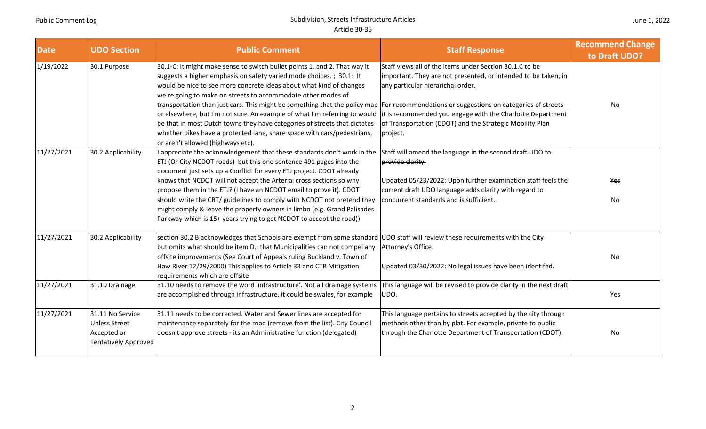| <b>Date</b> | <b>UDO Section</b>                                                                     | <b>Public Comment</b>                                                                                                                                                                                                                                                                                                                                                                                                                                                                                                                                                                                                                                                  | <b>Staff Response</b>                                                                                                                                                                                                                                                                                | <b>Recommend Change</b><br>to Draft UDO? |
|-------------|----------------------------------------------------------------------------------------|------------------------------------------------------------------------------------------------------------------------------------------------------------------------------------------------------------------------------------------------------------------------------------------------------------------------------------------------------------------------------------------------------------------------------------------------------------------------------------------------------------------------------------------------------------------------------------------------------------------------------------------------------------------------|------------------------------------------------------------------------------------------------------------------------------------------------------------------------------------------------------------------------------------------------------------------------------------------------------|------------------------------------------|
| 1/19/2022   | 30.1 Purpose                                                                           | 30.1-C: It might make sense to switch bullet points 1. and 2. That way it<br>suggests a higher emphasis on safety varied mode choices.; 30.1: It<br>would be nice to see more concrete ideas about what kind of changes<br>we're going to make on streets to accommodate other modes of<br>transportation than just cars. This might be something that the policy map For recommendations or suggestions on categories of streets<br>or elsewhere, but I'm not sure. An example of what I'm referring to would<br>be that in most Dutch towns they have categories of streets that dictates<br>whether bikes have a protected lane, share space with cars/pedestrians, | Staff views all of the items under Section 30.1.C to be<br>important. They are not presented, or intended to be taken, in<br>any particular hierarichal order.<br>it is recommended you engage with the Charlotte Department<br>of Transportation (CDOT) and the Strategic Mobility Plan<br>project. | No                                       |
| 11/27/2021  | 30.2 Applicability                                                                     | or aren't allowed (highways etc).<br>I appreciate the acknowledgement that these standards don't work in the<br>ETJ (Or City NCDOT roads) but this one sentence 491 pages into the                                                                                                                                                                                                                                                                                                                                                                                                                                                                                     | Staff will amend the language in the second draft UDO to-<br>provide clarity.                                                                                                                                                                                                                        |                                          |
|             |                                                                                        | document just sets up a Conflict for every ETJ project. CDOT already<br>knows that NCDOT will not accept the Arterial cross sections so why<br>propose them in the ETJ? (I have an NCDOT email to prove it). CDOT<br>should write the CRT/ guidelines to comply with NCDOT not pretend they<br>might comply & leave the property owners in limbo (e.g. Grand Palisades<br>Parkway which is 15+ years trying to get NCDOT to accept the road))                                                                                                                                                                                                                          | Updated 05/23/2022: Upon further examination staff feels the<br>current draft UDO language adds clarity with regard to<br>concurrent standards and is sufficient.                                                                                                                                    | Yes<br>No                                |
| 11/27/2021  | 30.2 Applicability                                                                     | section 30.2 B acknowledges that Schools are exempt from some standard<br>but omits what should be item D.: that Municipalities can not compel any<br>offsite improvements (See Court of Appeals ruling Buckland v. Town of<br>Haw River 12/29/2000) This applies to Article 33 and CTR Mitigation<br>requirements which are offsite                                                                                                                                                                                                                                                                                                                                   | UDO staff will review these requirements with the City<br>Attorney's Office.<br>Updated 03/30/2022: No legal issues have been identifed.                                                                                                                                                             | No                                       |
| 11/27/2021  | 31.10 Drainage                                                                         | 31.10 needs to remove the word 'infrastructure'. Not all drainage systems<br>are accomplished through infrastructure. it could be swales, for example                                                                                                                                                                                                                                                                                                                                                                                                                                                                                                                  | This language will be revised to provide clarity in the next draft<br>UDO.                                                                                                                                                                                                                           | Yes                                      |
| 11/27/2021  | 31.11 No Service<br><b>Unless Street</b><br>Accepted or<br><b>Tentatively Approved</b> | 31.11 needs to be corrected. Water and Sewer lines are accepted for<br>maintenance separately for the road (remove from the list). City Council<br>doesn't approve streets - its an Administrative function (delegated)                                                                                                                                                                                                                                                                                                                                                                                                                                                | This language pertains to streets accepted by the city through<br>methods other than by plat. For example, private to public<br>through the Charlotte Department of Transportation (CDOT).                                                                                                           | No                                       |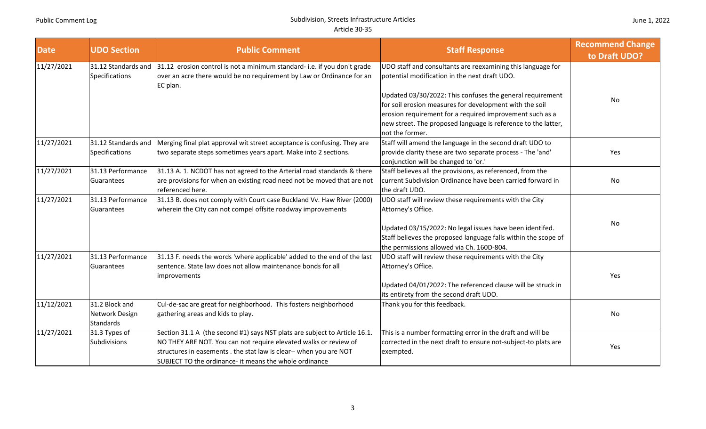| <b>Date</b> | <b>UDO Section</b>                                   | <b>Public Comment</b>                                                                                                                                                                                                                                                          | <b>Staff Response</b>                                                                                                                                                                                                                                                                                                                                             | <b>Recommend Change</b><br>to Draft UDO? |
|-------------|------------------------------------------------------|--------------------------------------------------------------------------------------------------------------------------------------------------------------------------------------------------------------------------------------------------------------------------------|-------------------------------------------------------------------------------------------------------------------------------------------------------------------------------------------------------------------------------------------------------------------------------------------------------------------------------------------------------------------|------------------------------------------|
| 11/27/2021  | 31.12 Standards and<br><b>Specifications</b>         | 31.12 erosion control is not a minimum standard- i.e. if you don't grade<br>over an acre there would be no requirement by Law or Ordinance for an<br>EC plan.                                                                                                                  | UDO staff and consultants are reexamining this language for<br>potential modification in the next draft UDO.<br>Updated 03/30/2022: This confuses the general requirement<br>for soil erosion measures for development with the soil<br>erosion requirement for a required improvement such as a<br>new street. The proposed language is reference to the latter, | No                                       |
| 11/27/2021  | 31.12 Standards and<br><b>Specifications</b>         | Merging final plat approval wit street acceptance is confusing. They are<br>two separate steps sometimes years apart. Make into 2 sections.                                                                                                                                    | not the former.<br>Staff will amend the language in the second draft UDO to<br>provide clarity these are two separate process - The 'and'<br>conjunction will be changed to 'or.'                                                                                                                                                                                 | Yes                                      |
| 11/27/2021  | 31.13 Performance<br>Guarantees                      | 31.13 A. 1. NCDOT has not agreed to the Arterial road standards & there<br>are provisions for when an existing road need not be moved that are not<br>referenced here.                                                                                                         | Staff believes all the provisions, as referenced, from the<br>current Subdivision Ordinance have been carried forward in<br>the draft UDO.                                                                                                                                                                                                                        | No                                       |
| 11/27/2021  | 31.13 Performance<br>Guarantees                      | 31.13 B. does not comply with Court case Buckland Vv. Haw River (2000)<br>wherein the City can not compel offsite roadway improvements                                                                                                                                         | UDO staff will review these requirements with the City<br>Attorney's Office.<br>Updated 03/15/2022: No legal issues have been identifed.<br>Staff believes the proposed language falls within the scope of<br>the permissions allowed via Ch. 160D-804.                                                                                                           | No                                       |
| 11/27/2021  | 31.13 Performance<br>Guarantees                      | 31.13 F. needs the words 'where applicable' added to the end of the last<br>sentence. State law does not allow maintenance bonds for all<br>improvements                                                                                                                       | UDO staff will review these requirements with the City<br>Attorney's Office.<br>Updated 04/01/2022: The referenced clause will be struck in<br>its entirety from the second draft UDO.                                                                                                                                                                            | Yes                                      |
| 11/12/2021  | 31.2 Block and<br>Network Design<br><b>Standards</b> | Cul-de-sac are great for neighborhood. This fosters neighborhood<br>gathering areas and kids to play.                                                                                                                                                                          | Thank you for this feedback.                                                                                                                                                                                                                                                                                                                                      | No                                       |
| 11/27/2021  | 31.3 Types of<br>Subdivisions                        | Section 31.1 A (the second #1) says NST plats are subject to Article 16.1.<br>NO THEY ARE NOT. You can not require elevated walks or review of<br>structures in easements . the stat law is clear-- when you are NOT<br>SUBJECT TO the ordinance- it means the whole ordinance | This is a number formatting error in the draft and will be<br>corrected in the next draft to ensure not-subject-to plats are<br>exempted.                                                                                                                                                                                                                         | Yes                                      |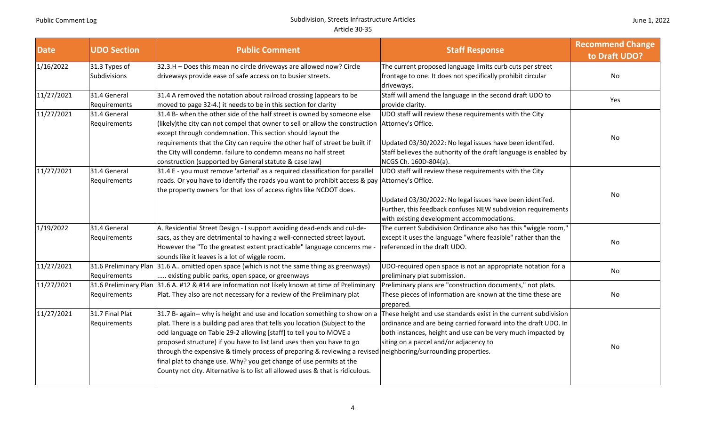| <b>Date</b> | <b>UDO Section</b>              | <b>Public Comment</b>                                                                                                                                                                                                                                                                                                                                                                                                                                                                                                                                                                                                                           | <b>Staff Response</b>                                                                                                                                                                                                           | <b>Recommend Change</b><br>to Draft UDO? |
|-------------|---------------------------------|-------------------------------------------------------------------------------------------------------------------------------------------------------------------------------------------------------------------------------------------------------------------------------------------------------------------------------------------------------------------------------------------------------------------------------------------------------------------------------------------------------------------------------------------------------------------------------------------------------------------------------------------------|---------------------------------------------------------------------------------------------------------------------------------------------------------------------------------------------------------------------------------|------------------------------------------|
| 1/16/2022   | 31.3 Types of<br>Subdivisions   | 32.3.H - Does this mean no circle driveways are allowed now? Circle<br>driveways provide ease of safe access on to busier streets.                                                                                                                                                                                                                                                                                                                                                                                                                                                                                                              | The current proposed language limits curb cuts per street<br>frontage to one. It does not specifically prohibit circular<br>driveways.                                                                                          | No                                       |
| 11/27/2021  | 31.4 General<br>Requirements    | 31.4 A removed the notation about railroad crossing (appears to be<br>moved to page 32-4.) it needs to be in this section for clarity                                                                                                                                                                                                                                                                                                                                                                                                                                                                                                           | Staff will amend the language in the second draft UDO to<br>provide clarity.                                                                                                                                                    | Yes                                      |
| 11/27/2021  | 31.4 General<br>Requirements    | 31.4 B- when the other side of the half street is owned by someone else<br>(likely)the city can not compel that owner to sell or allow the construction  Attorney's Office.<br>except through condemnation. This section should layout the<br>requirements that the City can require the other half of street be built if<br>the City will condemn. failure to condemn means no half street<br>construction (supported by General statute & case law)                                                                                                                                                                                           | UDO staff will review these requirements with the City<br>Updated 03/30/2022: No legal issues have been identifed.<br>Staff believes the authority of the draft language is enabled by<br>NCGS Ch. 160D-804(a).                 | No                                       |
| 11/27/2021  | 31.4 General<br>Requirements    | 31.4 E - you must remove 'arterial' as a required classification for parallel<br>roads. Or you have to identify the roads you want to prohibit access & pay Attorney's Office.<br>the property owners for that loss of access rights like NCDOT does.                                                                                                                                                                                                                                                                                                                                                                                           | UDO staff will review these requirements with the City<br>Updated 03/30/2022: No legal issues have been identifed.<br>Further, this feedback confuses NEW subdivision requirements<br>with existing development accommodations. | No                                       |
| 1/19/2022   | 31.4 General<br>Requirements    | A. Residential Street Design - I support avoiding dead-ends and cul-de-<br>sacs, as they are detrimental to having a well-connected street layout.<br>However the "To the greatest extent practicable" language concerns me<br>sounds like it leaves is a lot of wiggle room.                                                                                                                                                                                                                                                                                                                                                                   | The current Subdivision Ordinance also has this "wiggle room,"<br>except it uses the language "where feasible" rather than the<br>referenced in the draft UDO.                                                                  | No                                       |
| 11/27/2021  | Requirements                    | 31.6 Preliminary Plan 31.6 A omitted open space (which is not the same thing as greenways)<br>existing public parks, open space, or greenways                                                                                                                                                                                                                                                                                                                                                                                                                                                                                                   | UDO-required open space is not an appropriate notation for a<br>preliminary plat submission.                                                                                                                                    | No                                       |
| 11/27/2021  | Requirements                    | 31.6 Preliminary Plan 31.6 A. #12 & #14 are information not likely known at time of Preliminary<br>Plat. They also are not necessary for a review of the Preliminary plat                                                                                                                                                                                                                                                                                                                                                                                                                                                                       | Preliminary plans are "construction documents," not plats.<br>These pieces of information are known at the time these are<br>prepared.                                                                                          | No                                       |
| 11/27/2021  | 31.7 Final Plat<br>Requirements | 31.7 B- again-- why is height and use and location something to show on a These height and use standards exist in the current subdivision<br>plat. There is a building pad area that tells you location (Subject to the<br>odd language on Table 29-2 allowing [staff] to tell you to MOVE a<br>proposed structure) if you have to list land uses then you have to go<br>through the expensive & timely process of preparing & reviewing a revised neighboring/surrounding properties.<br>final plat to change use. Why? you get change of use permits at the<br>County not city. Alternative is to list all allowed uses & that is ridiculous. | ordinance and are being carried forward into the draft UDO. In<br>both instances, height and use can be very much impacted by<br>siting on a parcel and/or adjacency to                                                         | No                                       |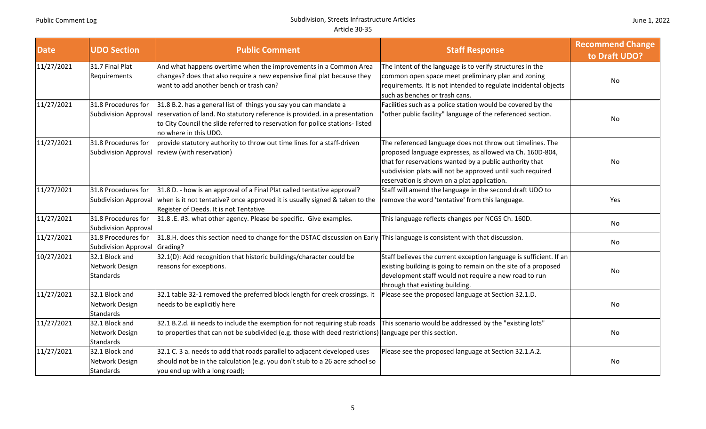| <b>Date</b> | <b>UDO Section</b>                                   | <b>Public Comment</b>                                                                                                                                                                                                                                   | <b>Staff Response</b>                                                                                                                                                                                                                                                                          | <b>Recommend Change</b><br>to Draft UDO? |
|-------------|------------------------------------------------------|---------------------------------------------------------------------------------------------------------------------------------------------------------------------------------------------------------------------------------------------------------|------------------------------------------------------------------------------------------------------------------------------------------------------------------------------------------------------------------------------------------------------------------------------------------------|------------------------------------------|
| 11/27/2021  | 31.7 Final Plat<br>Requirements                      | And what happens overtime when the improvements in a Common Area<br>changes? does that also require a new expensive final plat because they<br>want to add another bench or trash can?                                                                  | The intent of the language is to verify structures in the<br>common open space meet preliminary plan and zoning<br>requirements. It is not intended to regulate incidental objects<br>such as benches or trash cans.                                                                           | No                                       |
| 11/27/2021  | 31.8 Procedures for<br><b>Subdivision Approval</b>   | 31.8 B.2. has a general list of things you say you can mandate a<br>reservation of land. No statutory reference is provided. in a presentation<br>to City Council the slide referred to reservation for police stations-listed<br>no where in this UDO. | Facilities such as a police station would be covered by the<br>'other public facility" language of the referenced section.                                                                                                                                                                     | No                                       |
| 11/27/2021  | 31.8 Procedures for                                  | provide statutory authority to throw out time lines for a staff-driven<br>Subdivision Approval   review (with reservation)                                                                                                                              | The referenced language does not throw out timelines. The<br>proposed language expresses, as allowed via Ch. 160D-804,<br>that for reservations wanted by a public authority that<br>subdivision plats will not be approved until such required<br>reservation is shown on a plat application. | No                                       |
| 11/27/2021  | 31.8 Procedures for<br><b>Subdivision Approval</b>   | 31.8 D. - how is an approval of a Final Plat called tentative approval?<br>when is it not tentative? once approved it is usually signed & taken to the<br>Register of Deeds. It is not Tentative                                                        | Staff will amend the language in the second draft UDO to<br>remove the word 'tentative' from this language.                                                                                                                                                                                    | Yes                                      |
| 11/27/2021  | 31.8 Procedures for<br><b>Subdivision Approval</b>   | 31.8 .E. #3. what other agency. Please be specific. Give examples.                                                                                                                                                                                      | This language reflects changes per NCGS Ch. 160D.                                                                                                                                                                                                                                              | No                                       |
| 11/27/2021  | 31.8 Procedures for<br><b>Subdivision Approval</b>   | 31.8.H. does this section need to change for the DSTAC discussion on Early This language is consistent with that discussion.<br>Grading?                                                                                                                |                                                                                                                                                                                                                                                                                                | No                                       |
| 10/27/2021  | 32.1 Block and<br>Network Design<br>Standards        | 32.1(D): Add recognition that historic buildings/character could be<br>reasons for exceptions.                                                                                                                                                          | Staff believes the current exception language is sufficient. If an<br>existing building is going to remain on the site of a proposed<br>development staff would not require a new road to run<br>through that existing building.                                                               | No                                       |
| 11/27/2021  | 32.1 Block and<br>Network Design<br>Standards        | 32.1 table 32-1 removed the preferred block length for creek crossings. it<br>needs to be explicitly here                                                                                                                                               | Please see the proposed language at Section 32.1.D.                                                                                                                                                                                                                                            | No                                       |
| 11/27/2021  | 32.1 Block and<br>Network Design<br><b>Standards</b> | 32.1 B.2.d. iii needs to include the exemption for not requiring stub roads<br>to properties that can not be subdivided (e.g. those with deed restrictions) language per this section.                                                                  | This scenario would be addressed by the "existing lots"                                                                                                                                                                                                                                        | No                                       |
| 11/27/2021  | 32.1 Block and<br>Network Design<br><b>Standards</b> | 32.1 C. 3 a. needs to add that roads parallel to adjacent developed uses<br>should not be in the calculation (e.g. you don't stub to a 26 acre school so<br>you end up with a long road);                                                               | Please see the proposed language at Section 32.1.A.2.                                                                                                                                                                                                                                          | No                                       |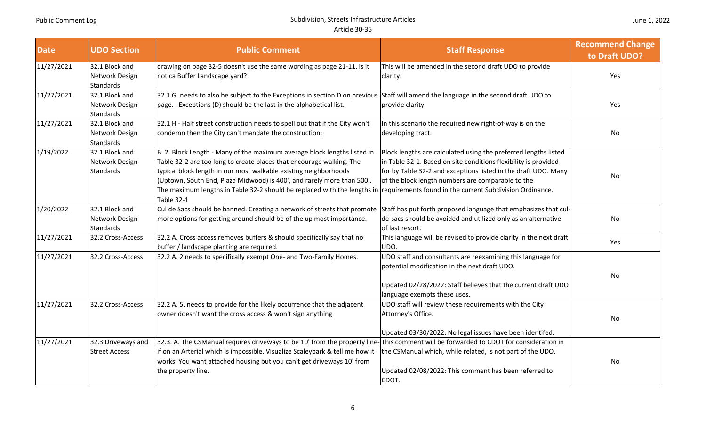| <b>Date</b> | <b>UDO Section</b>                                   | <b>Public Comment</b>                                                                                                                                                                                                                                                                                                                                                                           | <b>Staff Response</b>                                                                                                                                                                                                                                                                                                 | <b>Recommend Change</b><br>to Draft UDO? |
|-------------|------------------------------------------------------|-------------------------------------------------------------------------------------------------------------------------------------------------------------------------------------------------------------------------------------------------------------------------------------------------------------------------------------------------------------------------------------------------|-----------------------------------------------------------------------------------------------------------------------------------------------------------------------------------------------------------------------------------------------------------------------------------------------------------------------|------------------------------------------|
| 11/27/2021  | 32.1 Block and<br>Network Design<br><b>Standards</b> | drawing on page 32-5 doesn't use the same wording as page 21-11. is it<br>not ca Buffer Landscape yard?                                                                                                                                                                                                                                                                                         | This will be amended in the second draft UDO to provide<br>clarity.                                                                                                                                                                                                                                                   | Yes                                      |
| 11/27/2021  | 32.1 Block and<br>Network Design<br>Standards        | 32.1 G. needs to also be subject to the Exceptions in section D on previous<br>page. . Exceptions (D) should be the last in the alphabetical list.                                                                                                                                                                                                                                              | Staff will amend the language in the second draft UDO to<br>provide clarity.                                                                                                                                                                                                                                          | Yes                                      |
| 11/27/2021  | 32.1 Block and<br>Network Design<br><b>Standards</b> | 32.1 H - Half street construction needs to spell out that if the City won't<br>condemn then the City can't mandate the construction;                                                                                                                                                                                                                                                            | In this scenario the required new right-of-way is on the<br>developing tract.                                                                                                                                                                                                                                         | No                                       |
| 1/19/2022   | 32.1 Block and<br>Network Design<br><b>Standards</b> | B. 2. Block Length - Many of the maximum average block lengths listed in<br>Table 32-2 are too long to create places that encourage walking. The<br>typical block length in our most walkable existing neighborhoods<br>(Uptown, South End, Plaza Midwood) is 400', and rarely more than 500'.<br>The maximum lengths in Table 32-2 should be replaced with the lengths in<br><b>Table 32-1</b> | Block lengths are calculated using the preferred lengths listed<br>in Table 32-1. Based on site conditions flexibility is provided<br>for by Table 32-2 and exceptions listed in the draft UDO. Many<br>of the block length numbers are comparable to the<br>requirements found in the current Subdivision Ordinance. | No                                       |
| 1/20/2022   | 32.1 Block and<br>Network Design<br><b>Standards</b> | Cul de Sacs should be banned. Creating a network of streets that promote<br>more options for getting around should be of the up most importance.                                                                                                                                                                                                                                                | Staff has put forth proposed language that emphasizes that cul-<br>de-sacs should be avoided and utilized only as an alternative<br>of last resort.                                                                                                                                                                   | No                                       |
| 11/27/2021  | 32.2 Cross-Access                                    | 32.2 A. Cross access removes buffers & should specifically say that no<br>buffer / landscape planting are required.                                                                                                                                                                                                                                                                             | This language will be revised to provide clarity in the next draft<br>JDO.                                                                                                                                                                                                                                            | Yes                                      |
| 11/27/2021  | 32.2 Cross-Access                                    | 32.2 A. 2 needs to specifically exempt One- and Two-Family Homes.                                                                                                                                                                                                                                                                                                                               | UDO staff and consultants are reexamining this language for<br>potential modification in the next draft UDO.<br>Updated 02/28/2022: Staff believes that the current draft UDO<br>language exempts these uses.                                                                                                         | No.                                      |
| 11/27/2021  | 32.2 Cross-Access                                    | 32.2 A. 5. needs to provide for the likely occurrence that the adjacent<br>owner doesn't want the cross access & won't sign anything                                                                                                                                                                                                                                                            | UDO staff will review these requirements with the City<br>Attorney's Office.<br>Updated 03/30/2022: No legal issues have been identifed.                                                                                                                                                                              | <b>No</b>                                |
| 11/27/2021  | 32.3 Driveways and<br><b>Street Access</b>           | 32.3. A. The CSManual requires driveways to be 10' from the property line-This comment will be forwarded to CDOT for consideration in<br>if on an Arterial which is impossible. Visualize Scaleybark & tell me how it<br>works. You want attached housing but you can't get driveways 10' from<br>the property line.                                                                            | the CSManual which, while related, is not part of the UDO.<br>Updated 02/08/2022: This comment has been referred to<br>CDOT.                                                                                                                                                                                          | No                                       |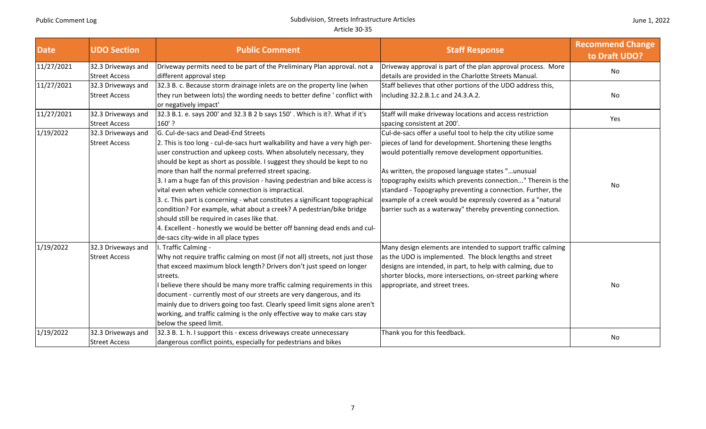| <b>Date</b> | <b>UDO Section</b>                         | <b>Public Comment</b>                                                                                                                                                                                                                                                                                                                                                                                                                                                                                                                                                                                                                                                                                                                                                                           | <b>Staff Response</b>                                                                                                                                                                                                                                                                                                                                                                                                                                                                             | <b>Recommend Change</b><br>to Draft UDO? |
|-------------|--------------------------------------------|-------------------------------------------------------------------------------------------------------------------------------------------------------------------------------------------------------------------------------------------------------------------------------------------------------------------------------------------------------------------------------------------------------------------------------------------------------------------------------------------------------------------------------------------------------------------------------------------------------------------------------------------------------------------------------------------------------------------------------------------------------------------------------------------------|---------------------------------------------------------------------------------------------------------------------------------------------------------------------------------------------------------------------------------------------------------------------------------------------------------------------------------------------------------------------------------------------------------------------------------------------------------------------------------------------------|------------------------------------------|
| 11/27/2021  | 32.3 Driveways and<br><b>Street Access</b> | Driveway permits need to be part of the Preliminary Plan approval. not a<br>different approval step                                                                                                                                                                                                                                                                                                                                                                                                                                                                                                                                                                                                                                                                                             | Driveway approval is part of the plan approval process. More<br>details are provided in the Charlotte Streets Manual.                                                                                                                                                                                                                                                                                                                                                                             | No                                       |
| 11/27/2021  | 32.3 Driveways and<br><b>Street Access</b> | 32.3 B. c. Because storm drainage inlets are on the property line (when<br>they run between lots) the wording needs to better define ' conflict with<br>or negatively impact'                                                                                                                                                                                                                                                                                                                                                                                                                                                                                                                                                                                                                   | Staff believes that other portions of the UDO address this,<br>including 32.2.B.1.c and 24.3.A.2.                                                                                                                                                                                                                                                                                                                                                                                                 | No                                       |
| 11/27/2021  | 32.3 Driveways and<br><b>Street Access</b> | 32.3 B.1. e. says 200' and 32.3 B 2 b says 150'. Which is it?. What if it's<br>160'?                                                                                                                                                                                                                                                                                                                                                                                                                                                                                                                                                                                                                                                                                                            | Staff will make driveway locations and access restriction<br>spacing consistent at 200'.                                                                                                                                                                                                                                                                                                                                                                                                          | Yes                                      |
| 1/19/2022   | 32.3 Driveways and<br><b>Street Access</b> | G. Cul-de-sacs and Dead-End Streets<br>2. This is too long - cul-de-sacs hurt walkability and have a very high per-<br>user construction and upkeep costs. When absolutely necessary, they<br>should be kept as short as possible. I suggest they should be kept to no<br>more than half the normal preferred street spacing.<br>3. I am a huge fan of this provision - having pedestrian and bike access is<br>vital even when vehicle connection is impractical.<br>3. c. This part is concerning - what constitutes a significant topographical<br>condition? For example, what about a creek? A pedestrian/bike bridge<br>should still be required in cases like that.<br>4. Excellent - honestly we would be better off banning dead ends and cul-<br>de-sacs city-wide in all place types | Cul-de-sacs offer a useful tool to help the city utilize some<br>pieces of land for development. Shortening these lengths<br>would potentially remove development opportunities.<br>As written, the proposed language states "unusual<br>topography exisits which prevents connection" Therein is the<br>standard - Topography preventing a connection. Further, the<br>example of a creek would be expressly covered as a "natural<br>barrier such as a waterway" thereby preventing connection. | No                                       |
| 1/19/2022   | 32.3 Driveways and<br><b>Street Access</b> | I. Traffic Calming -<br>Why not require traffic calming on most (if not all) streets, not just those<br>that exceed maximum block length? Drivers don't just speed on longer<br>streets.<br>believe there should be many more traffic calming requirements in this<br>document - currently most of our streets are very dangerous, and its<br>mainly due to drivers going too fast. Clearly speed limit signs alone aren't<br>working, and traffic calming is the only effective way to make cars stay<br>below the speed limit.                                                                                                                                                                                                                                                                | Many design elements are intended to support traffic calming<br>as the UDO is implemented. The block lengths and street<br>designs are intended, in part, to help with calming, due to<br>shorter blocks, more intersections, on-street parking where<br>appropriate, and street trees.                                                                                                                                                                                                           | No                                       |
| 1/19/2022   | 32.3 Driveways and<br><b>Street Access</b> | 32.3 B. 1. h. I support this - excess driveways create unnecessary<br>dangerous conflict points, especially for pedestrians and bikes                                                                                                                                                                                                                                                                                                                                                                                                                                                                                                                                                                                                                                                           | Thank you for this feedback.                                                                                                                                                                                                                                                                                                                                                                                                                                                                      | No                                       |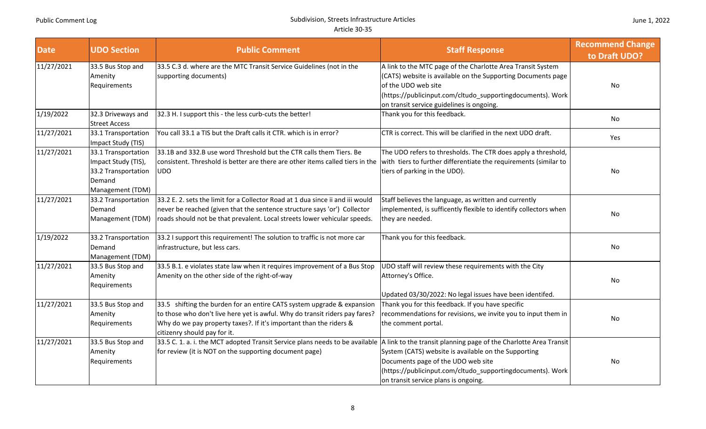| <b>Date</b> | <b>UDO Section</b>                                                                              | <b>Public Comment</b>                                                                                                                                                                                                                                       | <b>Staff Response</b>                                                                                                                                                                                                                                         | <b>Recommend Change</b><br>to Draft UDO? |
|-------------|-------------------------------------------------------------------------------------------------|-------------------------------------------------------------------------------------------------------------------------------------------------------------------------------------------------------------------------------------------------------------|---------------------------------------------------------------------------------------------------------------------------------------------------------------------------------------------------------------------------------------------------------------|------------------------------------------|
| 11/27/2021  | 33.5 Bus Stop and<br>Amenity<br>Requirements                                                    | 33.5 C.3 d. where are the MTC Transit Service Guidelines (not in the<br>supporting documents)                                                                                                                                                               | A link to the MTC page of the Charlotte Area Transit System<br>(CATS) website is available on the Supporting Documents page<br>of the UDO web site<br>(https://publicinput.com/cltudo_supportingdocuments). Work<br>on transit service guidelines is ongoing. | No                                       |
| 1/19/2022   | 32.3 Driveways and<br><b>Street Access</b>                                                      | 32.3 H. I support this - the less curb-cuts the better!                                                                                                                                                                                                     | Thank you for this feedback.                                                                                                                                                                                                                                  | No                                       |
| 11/27/2021  | 33.1 Transportation<br>Impact Study (TIS)                                                       | You call 33.1 a TIS but the Draft calls it CTR. which is in error?                                                                                                                                                                                          | CTR is correct. This will be clarified in the next UDO draft.                                                                                                                                                                                                 | Yes                                      |
| 11/27/2021  | 33.1 Transportation<br>Impact Study (TIS),<br>33.2 Transportation<br>Demand<br>Management (TDM) | 33.1B and 332.B use word Threshold but the CTR calls them Tiers. Be<br>consistent. Threshold is better are there are other items called tiers in the<br>UDO                                                                                                 | The UDO refers to thresholds. The CTR does apply a threshold,<br>with tiers to further differentiate the requirements (similar to<br>tiers of parking in the UDO).                                                                                            | No                                       |
| 11/27/2021  | 33.2 Transportation<br>Demand<br>Management (TDM)                                               | 33.2 E. 2. sets the limit for a Collector Road at 1 dua since ii and iii would<br>never be reached (given that the sentence structure says 'or') Collector<br>roads should not be that prevalent. Local streets lower vehicular speeds.                     | Staff believes the language, as written and currently<br>implemented, is sufficently flexible to identify collectors when<br>they are needed.                                                                                                                 | No                                       |
| 1/19/2022   | 33.2 Transportation<br>Demand<br>Management (TDM)                                               | 33.2 I support this requirement! The solution to traffic is not more car<br>infrastructure, but less cars.                                                                                                                                                  | Thank you for this feedback.                                                                                                                                                                                                                                  | No                                       |
| 11/27/2021  | 33.5 Bus Stop and<br>Amenity<br>Requirements                                                    | 33.5 B.1. e violates state law when it requires improvement of a Bus Stop<br>Amenity on the other side of the right-of-way                                                                                                                                  | UDO staff will review these requirements with the City<br>Attorney's Office.<br>Updated 03/30/2022: No legal issues have been identifed.                                                                                                                      | No                                       |
| 11/27/2021  | 33.5 Bus Stop and<br>Amenity<br>Requirements                                                    | 33.5 shifting the burden for an entire CATS system upgrade & expansion<br>to those who don't live here yet is awful. Why do transit riders pay fares?<br>Why do we pay property taxes?. If it's important than the riders &<br>citizenry should pay for it. | Thank you for this feedback. If you have specific<br>recommendations for revisions, we invite you to input them in<br>the comment portal.                                                                                                                     | No                                       |
| 11/27/2021  | 33.5 Bus Stop and<br>Amenity<br>Requirements                                                    | 33.5 C. 1. a. i. the MCT adopted Transit Service plans needs to be available  A link to the transit planning page of the Charlotte Area Transit<br>for review (it is NOT on the supporting document page)                                                   | System (CATS) website is available on the Supporting<br>Documents page of the UDO web site<br>(https://publicinput.com/cltudo_supportingdocuments). Work<br>on transit service plans is ongoing.                                                              | No                                       |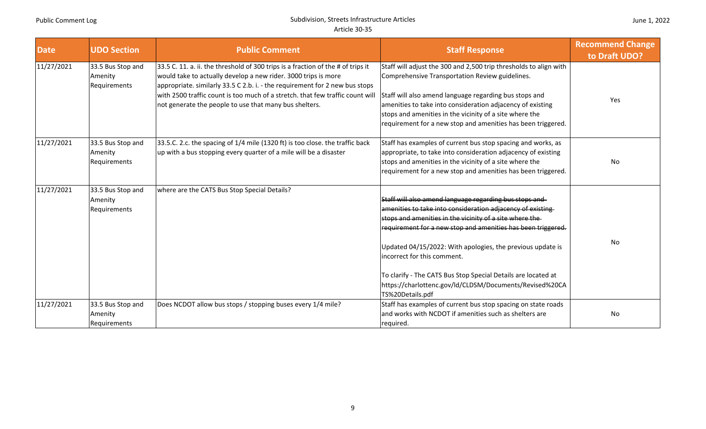| <b>Date</b> | <b>UDO Section</b>                           | <b>Public Comment</b>                                                                                                                                                                                                                                                                                                                                                        | <b>Staff Response</b>                                                                                                                                                                                                                                                                                                                                                                                                                                                                        | <b>Recommend Change</b><br>to Draft UDO? |
|-------------|----------------------------------------------|------------------------------------------------------------------------------------------------------------------------------------------------------------------------------------------------------------------------------------------------------------------------------------------------------------------------------------------------------------------------------|----------------------------------------------------------------------------------------------------------------------------------------------------------------------------------------------------------------------------------------------------------------------------------------------------------------------------------------------------------------------------------------------------------------------------------------------------------------------------------------------|------------------------------------------|
| 11/27/2021  | 33.5 Bus Stop and<br>Amenity<br>Requirements | 33.5 C. 11. a. ii. the threshold of 300 trips is a fraction of the # of trips it<br>would take to actually develop a new rider. 3000 trips is more<br>appropriate. similarly 33.5 C 2.b. i. - the requirement for 2 new bus stops<br>with 2500 traffic count is too much of a stretch. that few traffic count will<br>not generate the people to use that many bus shelters. | Staff will adjust the 300 and 2,500 trip thresholds to align with<br>Comprehensive Transportation Review guidelines.<br>Staff will also amend language regarding bus stops and<br>amenities to take into consideration adjacency of existing<br>stops and amenities in the vicinity of a site where the<br>requirement for a new stop and amenities has been triggered.                                                                                                                      | Yes                                      |
| 11/27/2021  | 33.5 Bus Stop and<br>Amenity<br>Requirements | 33.5.C. 2.c. the spacing of 1/4 mile (1320 ft) is too close. the traffic back<br>up with a bus stopping every quarter of a mile will be a disaster                                                                                                                                                                                                                           | Staff has examples of current bus stop spacing and works, as<br>appropriate, to take into consideration adjacency of existing<br>stops and amenities in the vicinity of a site where the<br>requirement for a new stop and amenities has been triggered.                                                                                                                                                                                                                                     | No.                                      |
| 11/27/2021  | 33.5 Bus Stop and<br>Amenity<br>Requirements | where are the CATS Bus Stop Special Details?                                                                                                                                                                                                                                                                                                                                 | Staff will also amend language regarding bus stops and<br>amenities to take into consideration adjacency of existing<br>stops and amenities in the vicinity of a site where the<br>requirement for a new stop and amenities has been triggered.<br>Updated 04/15/2022: With apologies, the previous update is<br>incorrect for this comment.<br>To clarify - The CATS Bus Stop Special Details are located at<br>https://charlottenc.gov/ld/CLDSM/Documents/Revised%20CA<br>TS%20Details.pdf | No                                       |
| 11/27/2021  | 33.5 Bus Stop and<br>Amenity<br>Requirements | Does NCDOT allow bus stops / stopping buses every 1/4 mile?                                                                                                                                                                                                                                                                                                                  | Staff has examples of current bus stop spacing on state roads<br>and works with NCDOT if amenities such as shelters are<br>required.                                                                                                                                                                                                                                                                                                                                                         | <b>No</b>                                |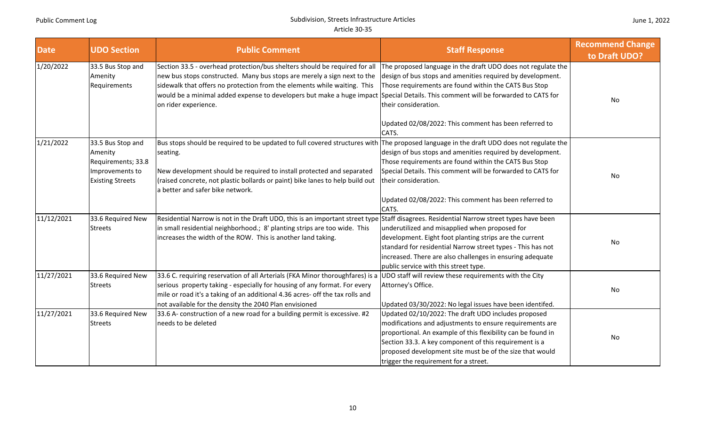| <b>Date</b> | <b>UDO Section</b>                                                                               | <b>Public Comment</b>                                                                                                                                                                                                                                                                                                              | <b>Staff Response</b>                                                                                                                                                                                                                                                                                                                                 | <b>Recommend Change</b><br>to Draft UDO? |
|-------------|--------------------------------------------------------------------------------------------------|------------------------------------------------------------------------------------------------------------------------------------------------------------------------------------------------------------------------------------------------------------------------------------------------------------------------------------|-------------------------------------------------------------------------------------------------------------------------------------------------------------------------------------------------------------------------------------------------------------------------------------------------------------------------------------------------------|------------------------------------------|
| 1/20/2022   | 33.5 Bus Stop and<br>Amenity<br>Requirements                                                     | Section 33.5 - overhead protection/bus shelters should be required for all<br>new bus stops constructed. Many bus stops are merely a sign next to the<br>sidewalk that offers no protection from the elements while waiting. This<br>would be a minimal added expense to developers but make a huge impact<br>on rider experience. | The proposed language in the draft UDO does not regulate the<br>design of bus stops and amenities required by development.<br>Those requirements are found within the CATS Bus Stop<br>Special Details. This comment will be forwarded to CATS for<br>their consideration.<br>Updated 02/08/2022: This comment has been referred to                   | No                                       |
| 1/21/2022   | 33.5 Bus Stop and<br>Amenity<br>Requirements; 33.8<br>Improvements to<br><b>Existing Streets</b> | Bus stops should be required to be updated to full covered structures with<br>seating.<br>New development should be required to install protected and separated<br>(raised concrete, not plastic bollards or paint) bike lanes to help build out<br>a better and safer bike network.                                               | CATS.<br>The proposed language in the draft UDO does not regulate the<br>design of bus stops and amenities required by development.<br>Those requirements are found within the CATS Bus Stop<br>Special Details. This comment will be forwarded to CATS for<br>their consideration.<br>Updated 02/08/2022: This comment has been referred to<br>CATS. | No                                       |
| 11/12/2021  | 33.6 Required New<br><b>Streets</b>                                                              | Residential Narrow is not in the Draft UDO, this is an important street type Staff disagrees. Residential Narrow street types have been<br>in small residential neighborhood.; 8' planting strips are too wide. This<br>increases the width of the ROW. This is another land taking.                                               | underutilized and misapplied when proposed for<br>development. Eight foot planting strips are the current<br>standard for residential Narrow street types - This has not<br>increased. There are also challenges in ensuring adequate<br>public service with this street type.                                                                        | No                                       |
| 11/27/2021  | 33.6 Required New<br><b>Streets</b>                                                              | 33.6 C. requiring reservation of all Arterials (FKA Minor thoroughfares) is a<br>serious property taking - especially for housing of any format. For every<br>mile or road it's a taking of an additional 4.36 acres- off the tax rolls and<br>not available for the density the 2040 Plan envisioned                              | UDO staff will review these requirements with the City<br>Attorney's Office.<br>Updated 03/30/2022: No legal issues have been identifed.                                                                                                                                                                                                              | No                                       |
| 11/27/2021  | 33.6 Required New<br><b>Streets</b>                                                              | 33.6 A- construction of a new road for a building permit is excessive. #2<br>needs to be deleted                                                                                                                                                                                                                                   | Updated 02/10/2022: The draft UDO includes proposed<br>modifications and adjustments to ensure requirements are<br>proportional. An example of this flexibility can be found in<br>Section 33.3. A key component of this requirement is a<br>proposed development site must be of the size that would<br>trigger the requirement for a street.        | No                                       |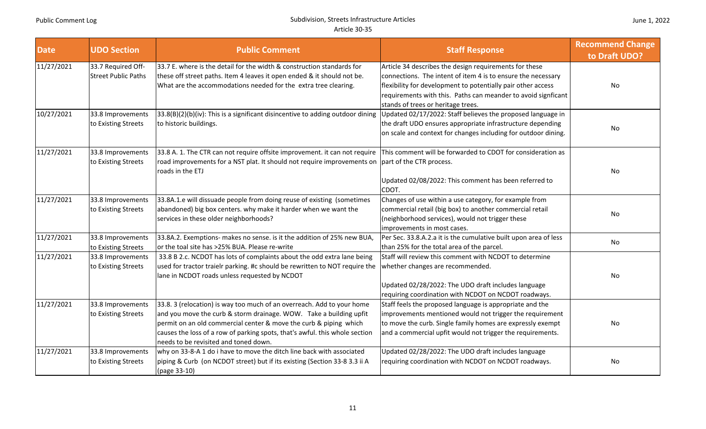| <b>Date</b> | <b>UDO Section</b>                               | <b>Public Comment</b>                                                                                                                                                                                                                                                                                                                     | <b>Staff Response</b>                                                                                                                                                                                                                                                                         | <b>Recommend Change</b><br>to Draft UDO? |
|-------------|--------------------------------------------------|-------------------------------------------------------------------------------------------------------------------------------------------------------------------------------------------------------------------------------------------------------------------------------------------------------------------------------------------|-----------------------------------------------------------------------------------------------------------------------------------------------------------------------------------------------------------------------------------------------------------------------------------------------|------------------------------------------|
| 11/27/2021  | 33.7 Required Off-<br><b>Street Public Paths</b> | 33.7 E. where is the detail for the width & construction standards for<br>these off street paths. Item 4 leaves it open ended & it should not be.<br>What are the accommodations needed for the extra tree clearing.                                                                                                                      | Article 34 describes the design requirements for these<br>connections. The intent of item 4 is to ensure the necessary<br>flexibility for development to potentially pair other access<br>requirements with this. Paths can meander to avoid signficant<br>stands of trees or heritage trees. | No                                       |
| 10/27/2021  | 33.8 Improvements<br>to Existing Streets         | 33.8(B)(2)(b)(iv): This is a significant disincentive to adding outdoor dining<br>to historic buildings.                                                                                                                                                                                                                                  | Updated 02/17/2022: Staff believes the proposed language in<br>the draft UDO ensures appropriate infrastructure depending<br>on scale and context for changes including for outdoor dining.                                                                                                   | No                                       |
| 11/27/2021  | 33.8 Improvements<br>to Existing Streets         | 33.8 A. 1. The CTR can not require offsite improvement. it can not require<br>road improvements for a NST plat. It should not require improvements on part of the CTR process.<br>roads in the ETJ                                                                                                                                        | This comment will be forwarded to CDOT for consideration as<br>Updated 02/08/2022: This comment has been referred to<br>CDOT.                                                                                                                                                                 | No                                       |
| 11/27/2021  | 33.8 Improvements<br>to Existing Streets         | 33.8A.1.e will dissuade people from doing reuse of existing (sometimes<br>abandoned) big box centers. why make it harder when we want the<br>services in these older neighborhoods?                                                                                                                                                       | Changes of use within a use category, for example from<br>commercial retail (big box) to another commercial retail<br>(neighborhood services), would not trigger these<br>improvements in most cases.                                                                                         | No                                       |
| 11/27/2021  | 33.8 Improvements<br>to Existing Streets         | 33.8A.2. Exemptions- makes no sense. is it the addition of 25% new BUA,<br>or the toal site has >25% BUA. Please re-write                                                                                                                                                                                                                 | Per Sec. 33.8.A.2.a it is the cumulative built upon area of less<br>than 25% for the total area of the parcel.                                                                                                                                                                                | No                                       |
| 11/27/2021  | 33.8 Improvements<br>to Existing Streets         | 33.8 B 2.c. NCDOT has lots of complaints about the odd extra lane being<br>used for tractor traielr parking. #c should be rewritten to NOT require the<br>lane in NCDOT roads unless requested by NCDOT                                                                                                                                   | Staff will review this comment with NCDOT to determine<br>whether changes are recommended.<br>Updated 02/28/2022: The UDO draft includes language<br>requiring coordination with NCDOT on NCDOT roadways.                                                                                     | No                                       |
| 11/27/2021  | 33.8 Improvements<br>to Existing Streets         | 33.8. 3 (relocation) is way too much of an overreach. Add to your home<br>and you move the curb & storm drainage. WOW. Take a building upfit<br>permit on an old commercial center & move the curb & piping which<br>causes the loss of a row of parking spots, that's awful. this whole section<br>needs to be revisited and toned down. | Staff feels the proposed language is appropriate and the<br>improvements mentioned would not trigger the requirement<br>to move the curb. Single family homes are expressly exempt<br>and a commercial upfit would not trigger the requirements.                                              | No                                       |
| 11/27/2021  | 33.8 Improvements<br>to Existing Streets         | why on 33-8-A 1 do i have to move the ditch line back with associated<br>piping & Curb (on NCDOT street) but if its existing (Section 33-8 3.3 ii A<br>(page 33-10)                                                                                                                                                                       | Updated 02/28/2022: The UDO draft includes language<br>requiring coordination with NCDOT on NCDOT roadways.                                                                                                                                                                                   | No                                       |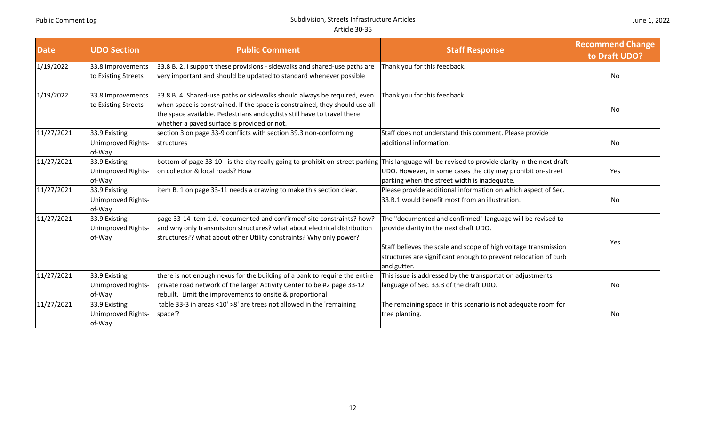| <b>Date</b> | <b>UDO Section</b>                            | <b>Public Comment</b>                                                                                                                                                                                                                                                              | <b>Staff Response</b>                                                                                                                                                                                                                                     | <b>Recommend Change</b><br>to Draft UDO? |
|-------------|-----------------------------------------------|------------------------------------------------------------------------------------------------------------------------------------------------------------------------------------------------------------------------------------------------------------------------------------|-----------------------------------------------------------------------------------------------------------------------------------------------------------------------------------------------------------------------------------------------------------|------------------------------------------|
| 1/19/2022   | 33.8 Improvements<br>to Existing Streets      | 33.8 B. 2. I support these provisions - sidewalks and shared-use paths are<br>very important and should be updated to standard whenever possible                                                                                                                                   | Thank you for this feedback.                                                                                                                                                                                                                              | No.                                      |
| 1/19/2022   | 33.8 Improvements<br>to Existing Streets      | 33.8 B. 4. Shared-use paths or sidewalks should always be required, even<br>when space is constrained. If the space is constrained, they should use all<br>the space available. Pedestrians and cyclists still have to travel there<br>whether a paved surface is provided or not. | Thank you for this feedback.                                                                                                                                                                                                                              | No                                       |
| 11/27/2021  | 33.9 Existing<br>Unimproved Rights-<br>of-Way | section 3 on page 33-9 conflicts with section 39.3 non-conforming<br>structures                                                                                                                                                                                                    | Staff does not understand this comment. Please provide<br>additional information.                                                                                                                                                                         | No                                       |
| 11/27/2021  | 33.9 Existing<br>Unimproved Rights-<br>of-Way | bottom of page 33-10 - is the city really going to prohibit on-street parking<br>on collector & local roads? How                                                                                                                                                                   | This language will be revised to provide clarity in the next draft<br>UDO. However, in some cases the city may prohibit on-street<br>parking when the street width is inadequate.                                                                         | Yes                                      |
| 11/27/2021  | 33.9 Existing<br>Unimproved Rights-<br>of-Way | item B. 1 on page 33-11 needs a drawing to make this section clear.                                                                                                                                                                                                                | Please provide additional information on which aspect of Sec.<br>33.B.1 would benefit most from an illustration.                                                                                                                                          | No                                       |
| 11/27/2021  | 33.9 Existing<br>Unimproved Rights-<br>of-Way | page 33-14 item 1.d. 'documented and confirmed' site constraints? how?<br>and why only transmission structures? what about electrical distribution<br>structures?? what about other Utility constraints? Why only power?                                                           | The "documented and confirmed" language will be revised to<br>provide clarity in the next draft UDO.<br>Staff believes the scale and scope of high voltage transmission<br>structures are significant enough to prevent relocation of curb<br>and gutter. | Yes                                      |
| 11/27/2021  | 33.9 Existing<br>Unimproved Rights-<br>of-Way | there is not enough nexus for the building of a bank to require the entire<br>private road network of the larger Activity Center to be #2 page 33-12<br>rebuilt. Limit the improvements to onsite & proportional                                                                   | This issue is addressed by the transportation adjustments<br>language of Sec. 33.3 of the draft UDO.                                                                                                                                                      | <b>No</b>                                |
| 11/27/2021  | 33.9 Existing<br>Unimproved Rights-<br>of-Way | table 33-3 in areas <10' >8' are trees not allowed in the 'remaining<br>space'?                                                                                                                                                                                                    | The remaining space in this scenario is not adequate room for<br>tree planting.                                                                                                                                                                           | No                                       |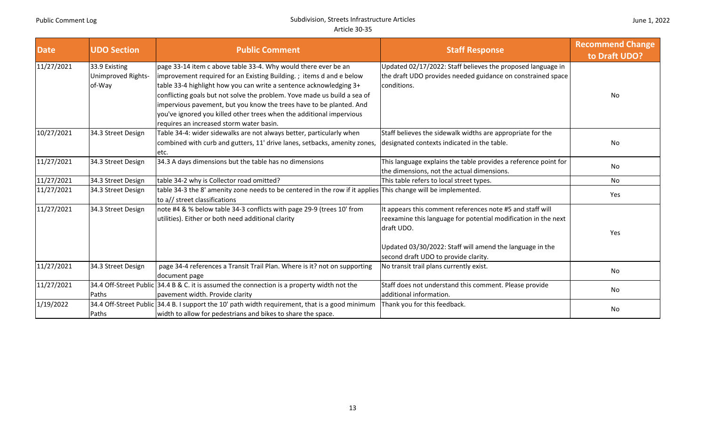| <b>Date</b> | <b>UDO Section</b>                            | <b>Public Comment</b>                                                                                                                                                                                                                                                                                                                                                                                                                                                              | <b>Staff Response</b>                                                                                                                                                                                                                         | <b>Recommend Change</b><br>to Draft UDO? |
|-------------|-----------------------------------------------|------------------------------------------------------------------------------------------------------------------------------------------------------------------------------------------------------------------------------------------------------------------------------------------------------------------------------------------------------------------------------------------------------------------------------------------------------------------------------------|-----------------------------------------------------------------------------------------------------------------------------------------------------------------------------------------------------------------------------------------------|------------------------------------------|
| 11/27/2021  | 33.9 Existing<br>Unimproved Rights-<br>of-Way | page 33-14 item c above table 33-4. Why would there ever be an<br>improvement required for an Existing Building.; items d and e below<br>table 33-4 highlight how you can write a sentence acknowledging 3+<br>conflicting goals but not solve the problem. Yove made us build a sea of<br>impervious pavement, but you know the trees have to be planted. And<br>you've ignored you killed other trees when the additional impervious<br>requires an increased storm water basin. | Updated 02/17/2022: Staff believes the proposed language in<br>the draft UDO provides needed guidance on constrained space<br>conditions.                                                                                                     | No.                                      |
| 10/27/2021  | 34.3 Street Design                            | Table 34-4: wider sidewalks are not always better, particularly when<br>combined with curb and gutters, 11' drive lanes, setbacks, amenity zones,<br>etc.                                                                                                                                                                                                                                                                                                                          | Staff believes the sidewalk widths are appropriate for the<br>designated contexts indicated in the table.                                                                                                                                     | No                                       |
| 11/27/2021  | 34.3 Street Design                            | 34.3 A days dimensions but the table has no dimensions                                                                                                                                                                                                                                                                                                                                                                                                                             | This language explains the table provides a reference point for<br>the dimensions, not the actual dimensions.                                                                                                                                 | No                                       |
| 11/27/2021  | 34.3 Street Design                            | table 34-2 why is Collector road omitted?                                                                                                                                                                                                                                                                                                                                                                                                                                          | This table refers to local street types.                                                                                                                                                                                                      | No                                       |
| 11/27/2021  | 34.3 Street Design                            | table 34-3 the 8' amenity zone needs to be centered in the row if it applies This change will be implemented.<br>to a// street classifications                                                                                                                                                                                                                                                                                                                                     |                                                                                                                                                                                                                                               | Yes                                      |
| 11/27/2021  | 34.3 Street Design                            | note #4 & % below table 34-3 conflicts with page 29-9 (trees 10' from<br>utilities). Either or both need additional clarity                                                                                                                                                                                                                                                                                                                                                        | It appears this comment references note #5 and staff will<br>reexamine this language for potential modification in the next<br>draft UDO.<br>Updated 03/30/2022: Staff will amend the language in the<br>second draft UDO to provide clarity. | Yes                                      |
| 11/27/2021  | 34.3 Street Design                            | page 34-4 references a Transit Trail Plan. Where is it? not on supporting<br>document page                                                                                                                                                                                                                                                                                                                                                                                         | No transit trail plans currently exist.                                                                                                                                                                                                       | No                                       |
| 11/27/2021  | Paths                                         | 34.4 Off-Street Public 34.4 B & C. it is assumed the connection is a property width not the<br>pavement width. Provide clarity                                                                                                                                                                                                                                                                                                                                                     | Staff does not understand this comment. Please provide<br>additional information.                                                                                                                                                             | No                                       |
| 1/19/2022   | Paths                                         | 34.4 Off-Street Public 34.4 B. I support the 10' path width requirement, that is a good minimum<br>width to allow for pedestrians and bikes to share the space.                                                                                                                                                                                                                                                                                                                    | Thank you for this feedback.                                                                                                                                                                                                                  | No.                                      |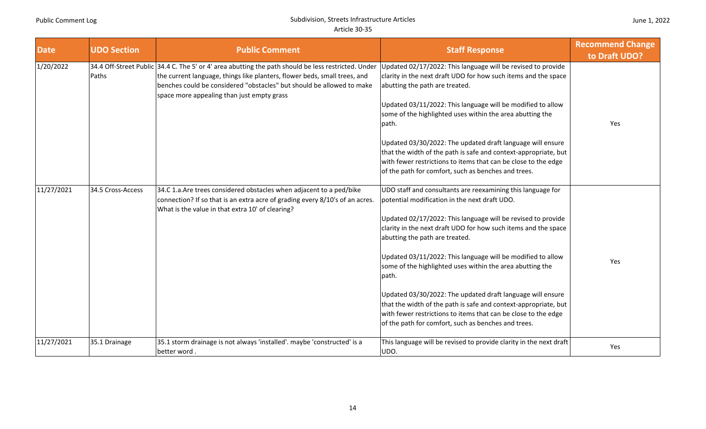| <b>Date</b> | <b>UDO Section</b> | <b>Public Comment</b>                                                                                                                                                                                                                                                                                   | <b>Staff Response</b>                                                                                                                                                                                                                                                                                                                                                                                                                                                                                                                                                                                                                                                           | <b>Recommend Change</b><br>to Draft UDO? |
|-------------|--------------------|---------------------------------------------------------------------------------------------------------------------------------------------------------------------------------------------------------------------------------------------------------------------------------------------------------|---------------------------------------------------------------------------------------------------------------------------------------------------------------------------------------------------------------------------------------------------------------------------------------------------------------------------------------------------------------------------------------------------------------------------------------------------------------------------------------------------------------------------------------------------------------------------------------------------------------------------------------------------------------------------------|------------------------------------------|
| 1/20/2022   | Paths              | 34.4 Off-Street Public 34.4 C. The 5' or 4' area abutting the path should be less restricted. Under<br>the current language, things like planters, flower beds, small trees, and<br>benches could be considered "obstacles" but should be allowed to make<br>space more appealing than just empty grass | Updated 02/17/2022: This language will be revised to provide<br>clarity in the next draft UDO for how such items and the space<br>abutting the path are treated.<br>Updated 03/11/2022: This language will be modified to allow<br>some of the highlighted uses within the area abutting the<br>path.<br>Updated 03/30/2022: The updated draft language will ensure<br>that the width of the path is safe and context-appropriate, but<br>with fewer restrictions to items that can be close to the edge<br>of the path for comfort, such as benches and trees.                                                                                                                 | Yes                                      |
| 11/27/2021  | 34.5 Cross-Access  | 34.C 1.a. Are trees considered obstacles when adjacent to a ped/bike<br>connection? If so that is an extra acre of grading every 8/10's of an acres.<br>What is the value in that extra 10' of clearing?                                                                                                | UDO staff and consultants are reexamining this language for<br>potential modification in the next draft UDO.<br>Updated 02/17/2022: This language will be revised to provide<br>clarity in the next draft UDO for how such items and the space<br>abutting the path are treated.<br>Updated 03/11/2022: This language will be modified to allow<br>some of the highlighted uses within the area abutting the<br>path.<br>Updated 03/30/2022: The updated draft language will ensure<br>that the width of the path is safe and context-appropriate, but<br>with fewer restrictions to items that can be close to the edge<br>of the path for comfort, such as benches and trees. | Yes                                      |
| 11/27/2021  | 35.1 Drainage      | 35.1 storm drainage is not always 'installed'. maybe 'constructed' is a<br>better word.                                                                                                                                                                                                                 | This language will be revised to provide clarity in the next draft<br>UDO.                                                                                                                                                                                                                                                                                                                                                                                                                                                                                                                                                                                                      | Yes                                      |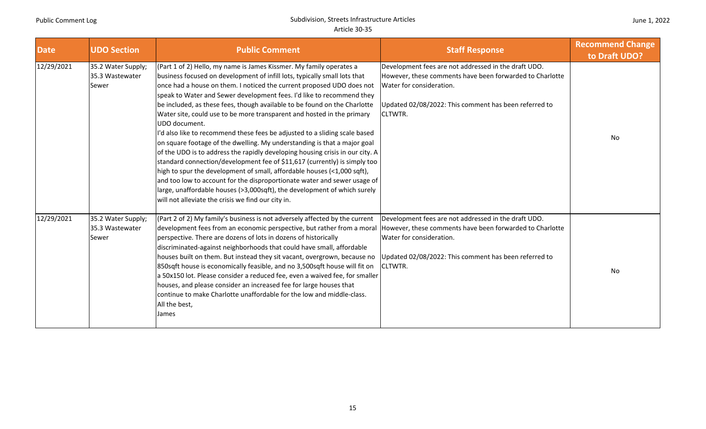| <b>Date</b> | <b>UDO Section</b>                             | <b>Public Comment</b>                                                                                                                                                                                                                                                                                                                                                                                                                                                                                                                                                                                                                                                                                                                                                                                                                                                                                                                                                                                                                                                                       | <b>Staff Response</b>                                                                                                                                                                                                   | <b>Recommend Change</b><br>to Draft UDO? |
|-------------|------------------------------------------------|---------------------------------------------------------------------------------------------------------------------------------------------------------------------------------------------------------------------------------------------------------------------------------------------------------------------------------------------------------------------------------------------------------------------------------------------------------------------------------------------------------------------------------------------------------------------------------------------------------------------------------------------------------------------------------------------------------------------------------------------------------------------------------------------------------------------------------------------------------------------------------------------------------------------------------------------------------------------------------------------------------------------------------------------------------------------------------------------|-------------------------------------------------------------------------------------------------------------------------------------------------------------------------------------------------------------------------|------------------------------------------|
| 12/29/2021  | 35.2 Water Supply;<br>35.3 Wastewater<br>Sewer | (Part 1 of 2) Hello, my name is James Kissmer. My family operates a<br>business focused on development of infill lots, typically small lots that<br>once had a house on them. I noticed the current proposed UDO does not<br>speak to Water and Sewer development fees. I'd like to recommend they<br>be included, as these fees, though available to be found on the Charlotte<br>Water site, could use to be more transparent and hosted in the primary<br>UDO document.<br>I'd also like to recommend these fees be adjusted to a sliding scale based<br>on square footage of the dwelling. My understanding is that a major goal<br>of the UDO is to address the rapidly developing housing crisis in our city. A<br>standard connection/development fee of \$11,617 (currently) is simply too<br>high to spur the development of small, affordable houses (<1,000 sqft),<br>and too low to account for the disproportionate water and sewer usage of<br>large, unaffordable houses (>3,000sqft), the development of which surely<br>will not alleviate the crisis we find our city in. | Development fees are not addressed in the draft UDO.<br>However, these comments have been forwarded to Charlotte<br>Water for consideration.<br>Updated 02/08/2022: This comment has been referred to<br><b>CLTWTR.</b> | No                                       |
| 12/29/2021  | 35.2 Water Supply;<br>35.3 Wastewater<br>Sewer | (Part 2 of 2) My family's business is not adversely affected by the current<br>development fees from an economic perspective, but rather from a moral<br>perspective. There are dozens of lots in dozens of historically<br>discriminated-against neighborhoods that could have small, affordable<br>houses built on them. But instead they sit vacant, overgrown, because no<br>850sqft house is economically feasible, and no 3,500sqft house will fit on<br>a 50x150 lot. Please consider a reduced fee, even a waived fee, for smaller<br>houses, and please consider an increased fee for large houses that<br>continue to make Charlotte unaffordable for the low and middle-class.<br>All the best,<br><b>James</b>                                                                                                                                                                                                                                                                                                                                                                  | Development fees are not addressed in the draft UDO.<br>However, these comments have been forwarded to Charlotte<br>Water for consideration.<br>Updated 02/08/2022: This comment has been referred to<br><b>CLTWTR.</b> | No                                       |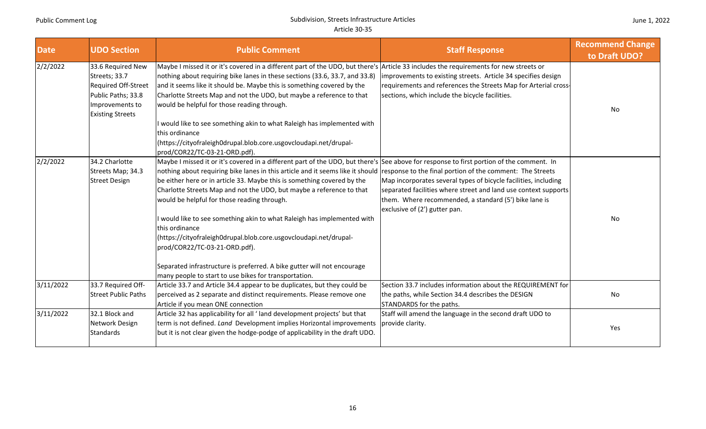| <b>Date</b> | <b>UDO Section</b>                                                                                                            | <b>Public Comment</b>                                                                                                                                                                                                                                                                                                                                                                                                                                                                                              | <b>Staff Response</b>                                                                                                                                                                                                        | <b>Recommend Change</b><br>to Draft UDO? |
|-------------|-------------------------------------------------------------------------------------------------------------------------------|--------------------------------------------------------------------------------------------------------------------------------------------------------------------------------------------------------------------------------------------------------------------------------------------------------------------------------------------------------------------------------------------------------------------------------------------------------------------------------------------------------------------|------------------------------------------------------------------------------------------------------------------------------------------------------------------------------------------------------------------------------|------------------------------------------|
| 2/2/2022    | 33.6 Required New<br>Streets; 33.7<br>Required Off-Street<br>Public Paths; 33.8<br>Improvements to<br><b>Existing Streets</b> | Maybe I missed it or it's covered in a different part of the UDO, but there's Article 33 includes the requirements for new streets or<br>nothing about requiring bike lanes in these sections (33.6, 33.7, and 33.8)<br>and it seems like it should be. Maybe this is something covered by the<br>Charlotte Streets Map and not the UDO, but maybe a reference to that<br>would be helpful for those reading through.<br>I would like to see something akin to what Raleigh has implemented with<br>this ordinance | improvements to existing streets. Article 34 specifies design<br>requirements and references the Streets Map for Arterial cross-<br>sections, which include the bicycle facilities.                                          | No                                       |
|             |                                                                                                                               | (https://cityofraleigh0drupal.blob.core.usgovcloudapi.net/drupal-<br>prod/COR22/TC-03-21-ORD.pdf).                                                                                                                                                                                                                                                                                                                                                                                                                 |                                                                                                                                                                                                                              |                                          |
| 2/2/2022    | 34.2 Charlotte<br>Streets Map; 34.3<br><b>Street Design</b>                                                                   | Maybe I missed it or it's covered in a different part of the UDO, but there's See above for response to first portion of the comment. In<br>nothing about requiring bike lanes in this article and it seems like it should response to the final portion of the comment: The Streets<br>be either here or in article 33. Maybe this is something covered by the<br>Charlotte Streets Map and not the UDO, but maybe a reference to that<br>would be helpful for those reading through.                             | Map incorporates several types of bicycle facilities, including<br>separated facilities where street and land use context supports<br>them. Where recommended, a standard (5') bike lane is<br>exclusive of (2') gutter pan. |                                          |
|             |                                                                                                                               | I would like to see something akin to what Raleigh has implemented with<br>this ordinance<br>(https://cityofraleigh0drupal.blob.core.usgovcloudapi.net/drupal-<br>prod/COR22/TC-03-21-ORD.pdf).                                                                                                                                                                                                                                                                                                                    |                                                                                                                                                                                                                              | No                                       |
|             |                                                                                                                               | Separated infrastructure is preferred. A bike gutter will not encourage<br>many people to start to use bikes for transportation.                                                                                                                                                                                                                                                                                                                                                                                   |                                                                                                                                                                                                                              |                                          |
| 3/11/2022   | 33.7 Required Off-<br><b>Street Public Paths</b>                                                                              | Article 33.7 and Article 34.4 appear to be duplicates, but they could be<br>perceived as 2 separate and distinct requirements. Please remove one<br>Article if you mean ONE connection                                                                                                                                                                                                                                                                                                                             | Section 33.7 includes information about the REQUIREMENT for<br>the paths, while Section 34.4 describes the DESIGN<br>STANDARDS for the paths.                                                                                | No                                       |
| 3/11/2022   | 32.1 Block and<br>Network Design<br><b>Standards</b>                                                                          | Article 32 has applicability for all 'land development projects' but that<br>term is not defined. Land Development implies Horizontal improvements<br>but it is not clear given the hodge-podge of applicability in the draft UDO.                                                                                                                                                                                                                                                                                 | Staff will amend the language in the second draft UDO to<br>provide clarity.                                                                                                                                                 | Yes                                      |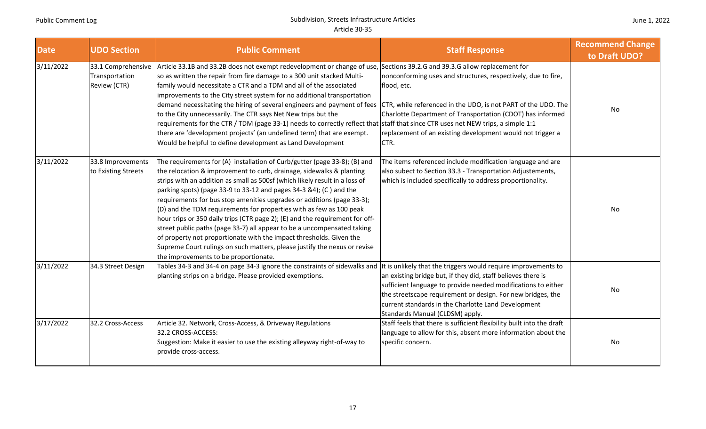| <b>Date</b> | <b>UDO Section</b>                                   | <b>Public Comment</b>                                                                                                                                                                                                                                                                                                                                                                                                                                                                                                                                                                                                                                                                                                                                                                                            | <b>Staff Response</b>                                                                                                                                                                                                                                                                  | <b>Recommend Change</b><br>to Draft UDO? |
|-------------|------------------------------------------------------|------------------------------------------------------------------------------------------------------------------------------------------------------------------------------------------------------------------------------------------------------------------------------------------------------------------------------------------------------------------------------------------------------------------------------------------------------------------------------------------------------------------------------------------------------------------------------------------------------------------------------------------------------------------------------------------------------------------------------------------------------------------------------------------------------------------|----------------------------------------------------------------------------------------------------------------------------------------------------------------------------------------------------------------------------------------------------------------------------------------|------------------------------------------|
| 3/11/2022   | 33.1 Comprehensive<br>Transportation<br>Review (CTR) | Article 33.1B and 33.2B does not exempt redevelopment or change of use, Sections 39.2.G and 39.3.G allow replacement for<br>so as written the repair from fire damage to a 300 unit stacked Multi-<br>family would necessitate a CTR and a TDM and all of the associated<br>improvements to the City street system for no additional transportation<br>demand necessitating the hiring of several engineers and payment of fees<br>to the City unnecessarily. The CTR says Net New trips but the<br>requirements for the CTR / TDM (page 33-1) needs to correctly reflect that staff that since CTR uses net NEW trips, a simple 1:1<br>there are 'development projects' (an undefined term) that are exempt.<br>Would be helpful to define development as Land Development                                      | nonconforming uses and structures, respectively, due to fire,<br>flood, etc.<br>CTR, while referenced in the UDO, is not PART of the UDO. The<br>Charlotte Department of Transportation (CDOT) has informed<br>replacement of an existing development would not trigger a<br>CTR.      | No                                       |
| 3/11/2022   | 33.8 Improvements<br>to Existing Streets             | The requirements for (A) installation of Curb/gutter (page 33-8); (B) and<br>the relocation & improvement to curb, drainage, sidewalks & planting<br>strips with an addition as small as 500sf (which likely result in a loss of<br>parking spots) (page 33-9 to 33-12 and pages 34-3 &4); (C ) and the<br>requirements for bus stop amenities upgrades or additions (page 33-3);<br>(D) and the TDM requirements for properties with as few as 100 peak<br>hour trips or 350 daily trips (CTR page 2); (E) and the requirement for off-<br>street public paths (page 33-7) all appear to be a uncompensated taking<br>of property not proportionate with the impact thresholds. Given the<br>Supreme Court rulings on such matters, please justify the nexus or revise<br>the improvements to be proportionate. | The items referenced include modification language and are<br>also subect to Section 33.3 - Transportation Adjustements,<br>which is included specifically to address proportionality.                                                                                                 | No                                       |
| 3/11/2022   | 34.3 Street Design                                   | Tables 34-3 and 34-4 on page 34-3 ignore the constraints of sidewalks and  It is unlikely that the triggers would require improvements to<br>planting strips on a bridge. Please provided exemptions.                                                                                                                                                                                                                                                                                                                                                                                                                                                                                                                                                                                                            | an existing bridge but, if they did, staff believes there is<br>sufficient language to provide needed modifications to either<br>the streetscape requirement or design. For new bridges, the<br>current standards in the Charlotte Land Development<br>Standards Manual (CLDSM) apply. | No                                       |
| 3/17/2022   | 32.2 Cross-Access                                    | Article 32. Network, Cross-Access, & Driveway Regulations<br>32.2 CROSS-ACCESS:<br>Suggestion: Make it easier to use the existing alleyway right-of-way to<br>provide cross-access.                                                                                                                                                                                                                                                                                                                                                                                                                                                                                                                                                                                                                              | Staff feels that there is sufficient flexibility built into the draft<br>language to allow for this, absent more information about the<br>specific concern.                                                                                                                            | No                                       |